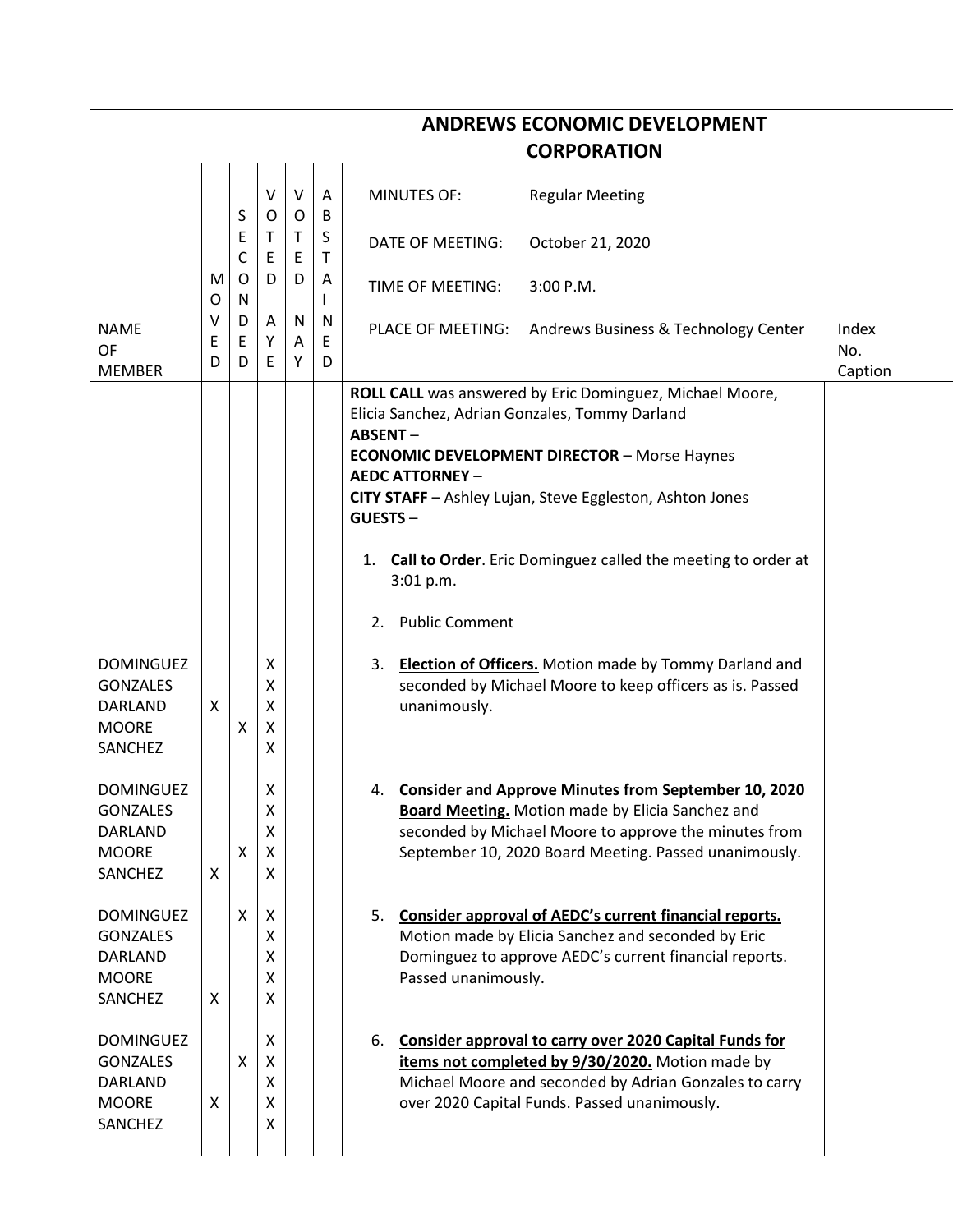| <b>ANDREWS ECONOMIC DEVELOPMENT</b> |             |              |                                             |             |             |                                                                                                                                 |              |  |  |  |
|-------------------------------------|-------------|--------------|---------------------------------------------|-------------|-------------|---------------------------------------------------------------------------------------------------------------------------------|--------------|--|--|--|
|                                     |             |              |                                             |             |             | <b>CORPORATION</b>                                                                                                              |              |  |  |  |
|                                     |             | S            | v<br>0                                      | V<br>O      | A<br>B      | <b>MINUTES OF:</b><br><b>Regular Meeting</b>                                                                                    |              |  |  |  |
|                                     |             | Ε<br>C       | $\mathsf{T}$<br>$\mathsf E$                 | Τ<br>E      | S<br>T      | DATE OF MEETING:<br>October 21, 2020                                                                                            |              |  |  |  |
|                                     | M<br>O      | $\circ$<br>N | D                                           | D           | A<br>L      | TIME OF MEETING:<br>3:00 P.M.                                                                                                   |              |  |  |  |
| <b>NAME</b><br>OF                   | v<br>Ε<br>D | D<br>E<br>D  | A<br>Υ<br>Ε                                 | N<br>A<br>Y | N<br>E<br>D | PLACE OF MEETING:<br>Andrews Business & Technology Center                                                                       | Index<br>No. |  |  |  |
| <b>MEMBER</b>                       |             |              |                                             |             |             | ROLL CALL was answered by Eric Dominguez, Michael Moore,                                                                        | Caption      |  |  |  |
|                                     |             |              |                                             |             |             | Elicia Sanchez, Adrian Gonzales, Tommy Darland<br><b>ABSENT-</b>                                                                |              |  |  |  |
|                                     |             |              |                                             |             |             | <b>ECONOMIC DEVELOPMENT DIRECTOR - Morse Haynes</b><br><b>AEDC ATTORNEY -</b>                                                   |              |  |  |  |
|                                     |             |              |                                             |             |             | CITY STAFF - Ashley Lujan, Steve Eggleston, Ashton Jones<br><b>GUESTS-</b>                                                      |              |  |  |  |
|                                     |             |              |                                             |             |             | Call to Order. Eric Dominguez called the meeting to order at<br>1.<br>3:01 p.m.                                                 |              |  |  |  |
|                                     |             |              |                                             |             |             | <b>Public Comment</b><br>2.                                                                                                     |              |  |  |  |
| <b>DOMINGUEZ</b><br><b>GONZALES</b> |             |              | Χ<br>Χ                                      |             |             | <b>Election of Officers.</b> Motion made by Tommy Darland and<br>3.<br>seconded by Michael Moore to keep officers as is. Passed |              |  |  |  |
| DARLAND<br><b>MOORE</b>             | X           | X            | $\pmb{\times}$<br>$\boldsymbol{\mathsf{X}}$ |             |             | unanimously.                                                                                                                    |              |  |  |  |
| SANCHEZ                             |             |              | Χ                                           |             |             |                                                                                                                                 |              |  |  |  |
| <b>DOMINGUEZ</b><br><b>GONZALES</b> |             |              | χ<br>X                                      |             |             | <b>Consider and Approve Minutes from September 10, 2020</b><br>4.<br><b>Board Meeting.</b> Motion made by Elicia Sanchez and    |              |  |  |  |
| DARLAND<br><b>MOORE</b>             |             | X            | X<br>$\boldsymbol{\mathsf{X}}$              |             |             | seconded by Michael Moore to approve the minutes from<br>September 10, 2020 Board Meeting. Passed unanimously.                  |              |  |  |  |
| SANCHEZ                             | X           |              | X                                           |             |             |                                                                                                                                 |              |  |  |  |
| <b>DOMINGUEZ</b><br><b>GONZALES</b> |             | X            | $\boldsymbol{\mathsf{X}}$<br>Χ              |             |             | Consider approval of AEDC's current financial reports.<br>5.<br>Motion made by Elicia Sanchez and seconded by Eric              |              |  |  |  |
| DARLAND                             |             |              | x                                           |             |             | Dominguez to approve AEDC's current financial reports.                                                                          |              |  |  |  |
| <b>MOORE</b><br>SANCHEZ             | X           |              | χ<br>X                                      |             |             | Passed unanimously.                                                                                                             |              |  |  |  |
| <b>DOMINGUEZ</b>                    |             |              | х                                           |             |             | <b>Consider approval to carry over 2020 Capital Funds for</b><br>6.                                                             |              |  |  |  |
| <b>GONZALES</b><br><b>DARLAND</b>   |             | X            | $\boldsymbol{\mathsf{X}}$<br>X              |             |             | items not completed by 9/30/2020. Motion made by<br>Michael Moore and seconded by Adrian Gonzales to carry                      |              |  |  |  |
| <b>MOORE</b><br>SANCHEZ             | X           |              | Χ<br>Χ                                      |             |             | over 2020 Capital Funds. Passed unanimously.                                                                                    |              |  |  |  |
|                                     |             |              |                                             |             |             |                                                                                                                                 |              |  |  |  |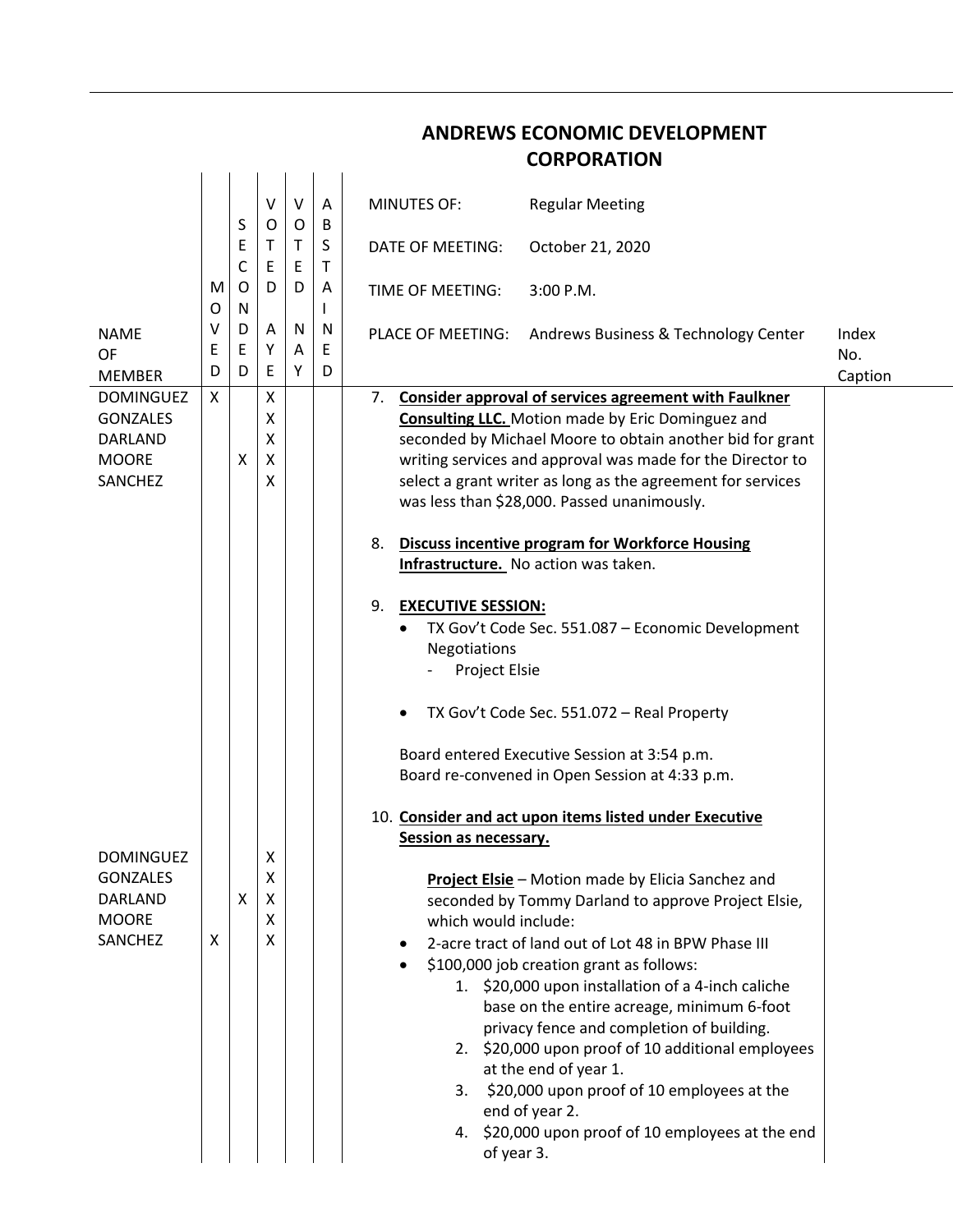## **ANDREWS ECONOMIC DEVELOPMENT CORPORATION**

|                                                                                  |             |                       | V<br>O                | $\vee$                | Α<br>B           | <b>MINUTES OF:</b><br><b>Regular Meeting</b>                                                                                                                                                                                                                                                                                                                                                                                                                                                                                                                                                                                                                                                                                                                                                                                                                                             |                         |
|----------------------------------------------------------------------------------|-------------|-----------------------|-----------------------|-----------------------|------------------|------------------------------------------------------------------------------------------------------------------------------------------------------------------------------------------------------------------------------------------------------------------------------------------------------------------------------------------------------------------------------------------------------------------------------------------------------------------------------------------------------------------------------------------------------------------------------------------------------------------------------------------------------------------------------------------------------------------------------------------------------------------------------------------------------------------------------------------------------------------------------------------|-------------------------|
|                                                                                  | M<br>O      | S<br>E<br>C<br>O<br>N | T.<br>E<br>D          | 0<br>$\top$<br>E<br>D | S<br>$\mathsf T$ | DATE OF MEETING:<br>October 21, 2020                                                                                                                                                                                                                                                                                                                                                                                                                                                                                                                                                                                                                                                                                                                                                                                                                                                     |                         |
|                                                                                  |             |                       |                       |                       | A<br>L           | TIME OF MEETING:<br>3:00 P.M.                                                                                                                                                                                                                                                                                                                                                                                                                                                                                                                                                                                                                                                                                                                                                                                                                                                            |                         |
| <b>NAME</b><br><b>OF</b><br><b>MEMBER</b>                                        | v<br>Ε<br>D | D<br>E<br>D           | Α<br>Y<br>E           | N<br>A<br>Υ           | N<br>E<br>D      | PLACE OF MEETING: Andrews Business & Technology Center                                                                                                                                                                                                                                                                                                                                                                                                                                                                                                                                                                                                                                                                                                                                                                                                                                   | Index<br>No.<br>Caption |
| <b>DOMINGUEZ</b><br><b>GONZALES</b><br><b>DARLAND</b><br><b>MOORE</b><br>SANCHEZ | X           | X                     | X<br>X<br>X<br>X<br>X |                       |                  | <b>Consider approval of services agreement with Faulkner</b><br>7.<br><b>Consulting LLC.</b> Motion made by Eric Dominguez and<br>seconded by Michael Moore to obtain another bid for grant<br>writing services and approval was made for the Director to<br>select a grant writer as long as the agreement for services<br>was less than \$28,000. Passed unanimously.<br><b>Discuss incentive program for Workforce Housing</b><br>8.<br>Infrastructure. No action was taken.<br>9.<br><b>EXECUTIVE SESSION:</b><br>TX Gov't Code Sec. 551.087 - Economic Development                                                                                                                                                                                                                                                                                                                  |                         |
| <b>DOMINGUEZ</b><br><b>GONZALES</b><br><b>DARLAND</b><br><b>MOORE</b><br>SANCHEZ | X           | X                     | х<br>Χ<br>Χ<br>X<br>X |                       |                  | Negotiations<br>Project Elsie<br>TX Gov't Code Sec. 551.072 - Real Property<br>$\bullet$<br>Board entered Executive Session at 3:54 p.m.<br>Board re-convened in Open Session at 4:33 p.m.<br>10. Consider and act upon items listed under Executive<br>Session as necessary.<br>Project Elsie - Motion made by Elicia Sanchez and<br>seconded by Tommy Darland to approve Project Elsie,<br>which would include:<br>2-acre tract of land out of Lot 48 in BPW Phase III<br>\$100,000 job creation grant as follows:<br>1. \$20,000 upon installation of a 4-inch caliche<br>base on the entire acreage, minimum 6-foot<br>privacy fence and completion of building.<br>2. \$20,000 upon proof of 10 additional employees<br>at the end of year 1.<br>3. \$20,000 upon proof of 10 employees at the<br>end of year 2.<br>4. \$20,000 upon proof of 10 employees at the end<br>of year 3. |                         |